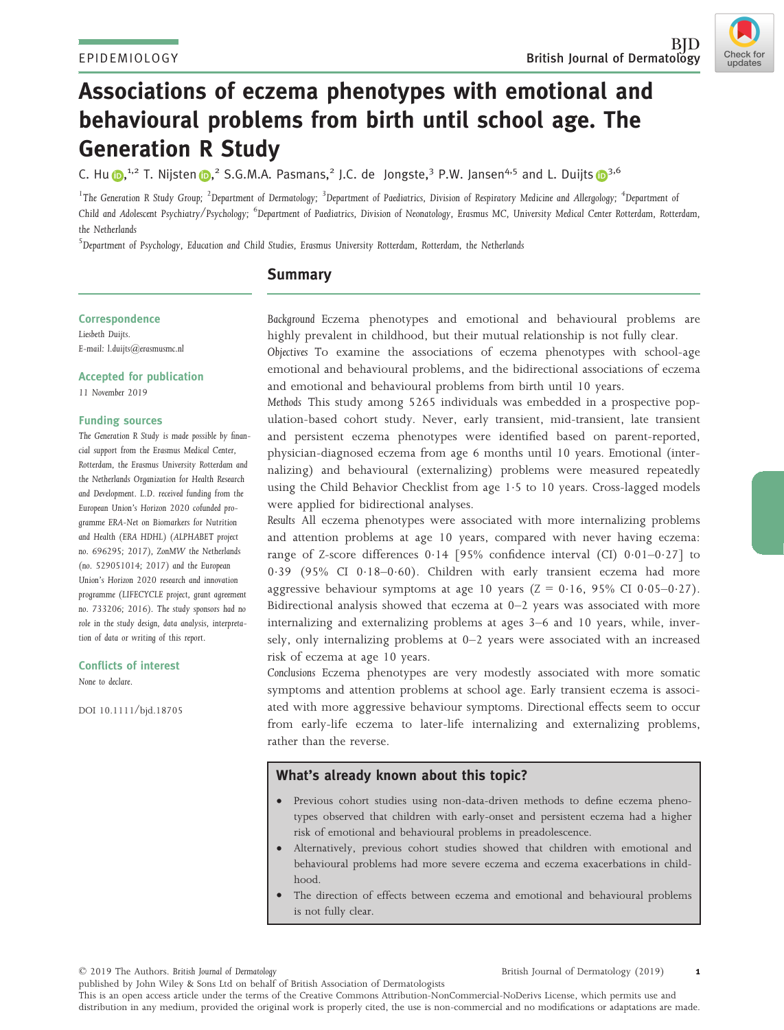Check for undates



C. H[u](https://orcid.org/0000-0002-9180-5781) <sub>(D,</sub><sup>1,2</sup> T. Nijste[n](https://orcid.org/0000-0001-9940-2875) <sub>(D,</sub><sup>2</sup> S.G.M.A. Pasmans,<sup>2</sup> J.C. de Jongste,<sup>3</sup> P.W. Jansen<sup>4,5</sup> and L. Duijts (D<sup>3,6</sup>

 $^{\rm 1}$ The Generation R Study Group;  $^{\rm 2}$ Department of Dermatology;  $^{\rm 3}$ Department of Paediatrics, Division of Respiratory Medicine and Allergology;  $^{\rm 4}$ Department of Child and Adolescent Psychiatry/Psychology; <sup>6</sup>Department of Paediatrics, Division of Neonatology, Erasmus MC, University Medical Center Rotterdam, Rotterdam, the Netherlands

5 Department of Psychology, Education and Child Studies, Erasmus University Rotterdam, Rotterdam, the Netherlands

# **Summary**

#### **Correspondence**

Liesbeth Duijts. E-mail: [l.duijts@erasmusmc.nl](mailto:)

Accepted for publication 11 November 2019

#### Funding sources

The Generation R Study is made possible by financial support from the Erasmus Medical Center, Rotterdam, the Erasmus University Rotterdam and the Netherlands Organization for Health Research and Development. L.D. received funding from the European Union's Horizon 2020 cofunded programme ERA-Net on Biomarkers for Nutrition and Health (ERA HDHL) (ALPHABET project no. 696295; 2017), ZonMW the Netherlands (no. 529051014; 2017) and the European Union's Horizon 2020 research and innovation programme (LIFECYCLE project, grant agreement no. 733206; 2016). The study sponsors had no role in the study design, data analysis, interpretation of data or writing of this report.

Conflicts of interest None to declare.

DOI 10.1111/bjd.18705

Background Eczema phenotypes and emotional and behavioural problems are highly prevalent in childhood, but their mutual relationship is not fully clear.

Objectives To examine the associations of eczema phenotypes with school-age emotional and behavioural problems, and the bidirectional associations of eczema and emotional and behavioural problems from birth until 10 years.

Methods This study among 5265 individuals was embedded in a prospective population-based cohort study. Never, early transient, mid-transient, late transient and persistent eczema phenotypes were identified based on parent-reported, physician-diagnosed eczema from age 6 months until 10 years. Emotional (internalizing) and behavioural (externalizing) problems were measured repeatedly using the Child Behavior Checklist from age 1.5 to 10 years. Cross-lagged models were applied for bidirectional analyses.

Results All eczema phenotypes were associated with more internalizing problems and attention problems at age 10 years, compared with never having eczema: range of Z-score differences  $0.14$  [95% confidence interval (CI)  $0.01-0.27$ ] to 039 (95% CI 018–060). Children with early transient eczema had more aggressive behaviour symptoms at age 10 years  $(Z = 0.16, 95\% \text{ CI } 0.05-0.27)$ . Bidirectional analysis showed that eczema at 0–2 years was associated with more internalizing and externalizing problems at ages 3–6 and 10 years, while, inversely, only internalizing problems at 0–2 years were associated with an increased risk of eczema at age 10 years.

Conclusions Eczema phenotypes are very modestly associated with more somatic symptoms and attention problems at school age. Early transient eczema is associated with more aggressive behaviour symptoms. Directional effects seem to occur from early-life eczema to later-life internalizing and externalizing problems, rather than the reverse.

## What's already known about this topic?

- Previous cohort studies using non-data-driven methods to define eczema phenotypes observed that children with early-onset and persistent eczema had a higher risk of emotional and behavioural problems in preadolescence.
- Alternatively, previous cohort studies showed that children with emotional and behavioural problems had more severe eczema and eczema exacerbations in childhood.
- The direction of effects between eczema and emotional and behavioural problems is not fully clear.

© 2019 The Authors. British Journal of Dermatology

published by John Wiley & Sons Ltd on behalf of British Association of Dermatologists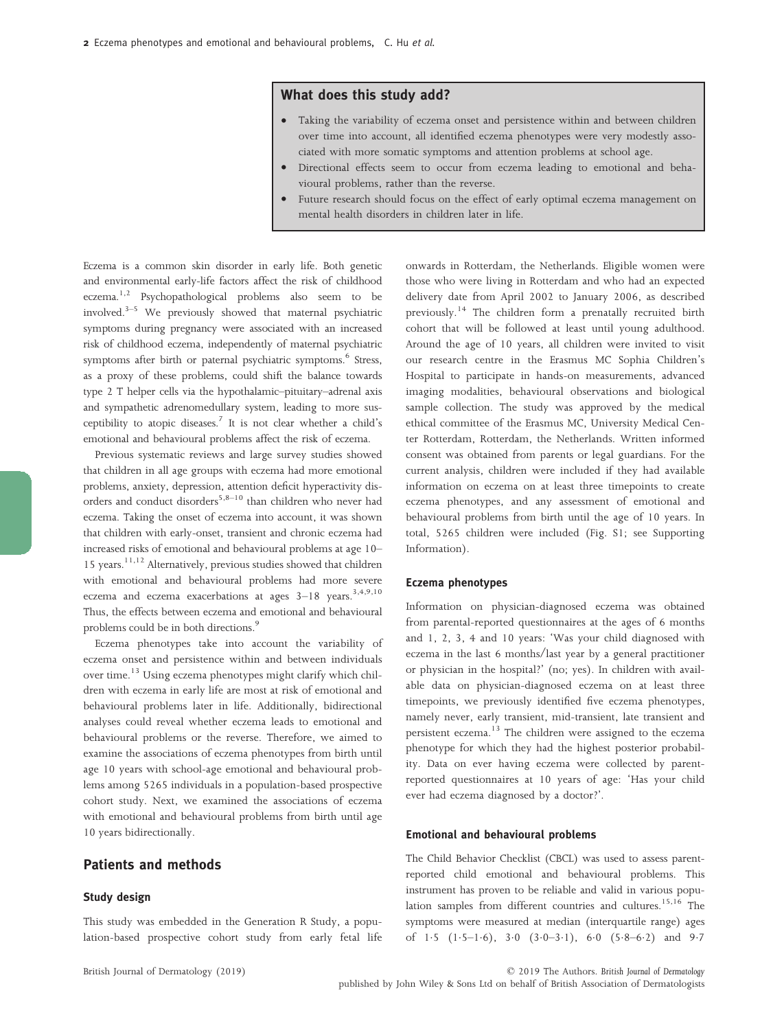# What does this study add?

- Taking the variability of eczema onset and persistence within and between children over time into account, all identified eczema phenotypes were very modestly associated with more somatic symptoms and attention problems at school age.
- Directional effects seem to occur from eczema leading to emotional and behavioural problems, rather than the reverse.
- Future research should focus on the effect of early optimal eczema management on mental health disorders in children later in life.

Eczema is a common skin disorder in early life. Both genetic and environmental early-life factors affect the risk of childhood eczema.<sup>1,2</sup> Psychopathological problems also seem to be involved.3–<sup>5</sup> We previously showed that maternal psychiatric symptoms during pregnancy were associated with an increased risk of childhood eczema, independently of maternal psychiatric symptoms after birth or paternal psychiatric symptoms.<sup>6</sup> Stress, as a proxy of these problems, could shift the balance towards type 2 T helper cells via the hypothalamic–pituitary–adrenal axis and sympathetic adrenomedullary system, leading to more susceptibility to atopic diseases.<sup>7</sup> It is not clear whether a child's emotional and behavioural problems affect the risk of eczema.

Previous systematic reviews and large survey studies showed that children in all age groups with eczema had more emotional problems, anxiety, depression, attention deficit hyperactivity disorders and conduct disorders<sup>5,8–10</sup> than children who never had eczema. Taking the onset of eczema into account, it was shown that children with early-onset, transient and chronic eczema had increased risks of emotional and behavioural problems at age 10– 15 years.<sup>11,12</sup> Alternatively, previous studies showed that children with emotional and behavioural problems had more severe eczema and eczema exacerbations at ages 3-18 years.<sup>3,4,9,10</sup> Thus, the effects between eczema and emotional and behavioural problems could be in both directions.<sup>9</sup>

Eczema phenotypes take into account the variability of eczema onset and persistence within and between individuals over time.<sup>13</sup> Using eczema phenotypes might clarify which children with eczema in early life are most at risk of emotional and behavioural problems later in life. Additionally, bidirectional analyses could reveal whether eczema leads to emotional and behavioural problems or the reverse. Therefore, we aimed to examine the associations of eczema phenotypes from birth until age 10 years with school-age emotional and behavioural problems among 5265 individuals in a population-based prospective cohort study. Next, we examined the associations of eczema with emotional and behavioural problems from birth until age 10 years bidirectionally.

# Patients and methods

### Study design

This study was embedded in the Generation R Study, a population-based prospective cohort study from early fetal life onwards in Rotterdam, the Netherlands. Eligible women were those who were living in Rotterdam and who had an expected delivery date from April 2002 to January 2006, as described previously.<sup>14</sup> The children form a prenatally recruited birth cohort that will be followed at least until young adulthood. Around the age of 10 years, all children were invited to visit our research centre in the Erasmus MC Sophia Children's Hospital to participate in hands-on measurements, advanced imaging modalities, behavioural observations and biological sample collection. The study was approved by the medical ethical committee of the Erasmus MC, University Medical Center Rotterdam, Rotterdam, the Netherlands. Written informed consent was obtained from parents or legal guardians. For the current analysis, children were included if they had available information on eczema on at least three timepoints to create eczema phenotypes, and any assessment of emotional and behavioural problems from birth until the age of 10 years. In total, 5265 children were included (Fig. S1; see Supporting Information).

#### Eczema phenotypes

Information on physician-diagnosed eczema was obtained from parental-reported questionnaires at the ages of 6 months and 1, 2, 3, 4 and 10 years: 'Was your child diagnosed with eczema in the last 6 months/last year by a general practitioner or physician in the hospital?' (no; yes). In children with available data on physician-diagnosed eczema on at least three timepoints, we previously identified five eczema phenotypes, namely never, early transient, mid-transient, late transient and persistent eczema.<sup>13</sup> The children were assigned to the eczema phenotype for which they had the highest posterior probability. Data on ever having eczema were collected by parentreported questionnaires at 10 years of age: 'Has your child ever had eczema diagnosed by a doctor?'.

#### Emotional and behavioural problems

The Child Behavior Checklist (CBCL) was used to assess parentreported child emotional and behavioural problems. This instrument has proven to be reliable and valid in various population samples from different countries and cultures.<sup>15,16</sup> The symptoms were measured at median (interquartile range) ages of 1.5  $(1.5-1.6)$ , 3.0  $(3.0-3.1)$ , 6.0  $(5.8-6.2)$  and 9.7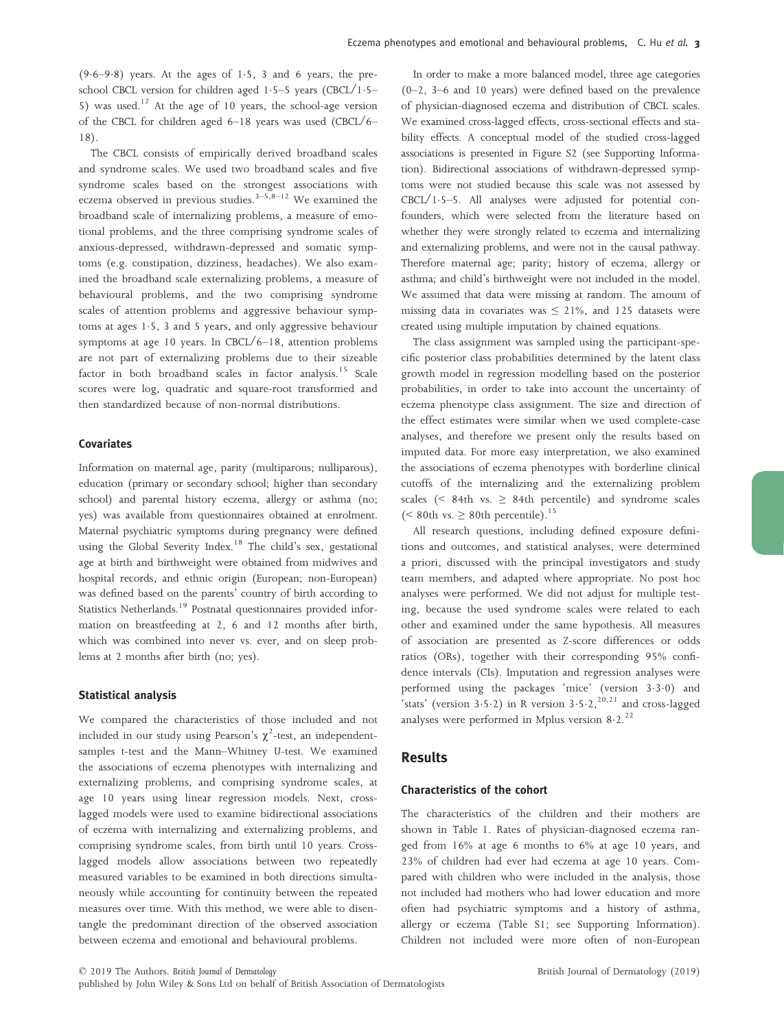$(9.6-9.8)$  years. At the ages of 1.5, 3 and 6 years, the preschool CBCL version for children aged 1.5–5 years (CBCL/1.5– 5) was used.<sup>17</sup> At the age of 10 years, the school-age version of the CBCL for children aged 6–18 years was used (CBCL/6– 18).

The CBCL consists of empirically derived broadband scales and syndrome scales. We used two broadband scales and five syndrome scales based on the strongest associations with eczema observed in previous studies. $3-5,8-12$  We examined the broadband scale of internalizing problems, a measure of emotional problems, and the three comprising syndrome scales of anxious-depressed, withdrawn-depressed and somatic symptoms (e.g. constipation, dizziness, headaches). We also examined the broadband scale externalizing problems, a measure of behavioural problems, and the two comprising syndrome scales of attention problems and aggressive behaviour symptoms at ages  $1.5$ , 3 and 5 years, and only aggressive behaviour symptoms at age 10 years. In CBCL/6–18, attention problems are not part of externalizing problems due to their sizeable factor in both broadband scales in factor analysis.<sup>15</sup> Scale scores were log, quadratic and square-root transformed and then standardized because of non-normal distributions.

### Covariates

Information on maternal age, parity (multiparous; nulliparous), education (primary or secondary school; higher than secondary school) and parental history eczema, allergy or asthma (no; yes) was available from questionnaires obtained at enrolment. Maternal psychiatric symptoms during pregnancy were defined using the Global Severity Index.<sup>18</sup> The child's sex, gestational age at birth and birthweight were obtained from midwives and hospital records, and ethnic origin (European; non-European) was defined based on the parents' country of birth according to Statistics Netherlands.<sup>19</sup> Postnatal questionnaires provided information on breastfeeding at 2, 6 and 12 months after birth, which was combined into never vs. ever, and on sleep problems at 2 months after birth (no; yes).

#### Statistical analysis

We compared the characteristics of those included and not included in our study using Pearson's  $\chi^2$ -test, an independentsamples t-test and the Mann–Whitney U-test. We examined the associations of eczema phenotypes with internalizing and externalizing problems, and comprising syndrome scales, at age 10 years using linear regression models. Next, crosslagged models were used to examine bidirectional associations of eczema with internalizing and externalizing problems, and comprising syndrome scales, from birth until 10 years. Crosslagged models allow associations between two repeatedly measured variables to be examined in both directions simultaneously while accounting for continuity between the repeated measures over time. With this method, we were able to disentangle the predominant direction of the observed association between eczema and emotional and behavioural problems.

In order to make a more balanced model, three age categories (0–2, 3–6 and 10 years) were defined based on the prevalence of physician-diagnosed eczema and distribution of CBCL scales. We examined cross-lagged effects, cross-sectional effects and stability effects. A conceptual model of the studied cross-lagged associations is presented in Figure S2 (see Supporting Information). Bidirectional associations of withdrawn-depressed symptoms were not studied because this scale was not assessed by CBCL/15–5. All analyses were adjusted for potential confounders, which were selected from the literature based on whether they were strongly related to eczema and internalizing and externalizing problems, and were not in the causal pathway. Therefore maternal age; parity; history of eczema, allergy or asthma; and child's birthweight were not included in the model. We assumed that data were missing at random. The amount of missing data in covariates was  $\leq$  21%, and 125 datasets were created using multiple imputation by chained equations.

The class assignment was sampled using the participant-specific posterior class probabilities determined by the latent class growth model in regression modelling based on the posterior probabilities, in order to take into account the uncertainty of eczema phenotype class assignment. The size and direction of the effect estimates were similar when we used complete-case analyses, and therefore we present only the results based on imputed data. For more easy interpretation, we also examined the associations of eczema phenotypes with borderline clinical cutoffs of the internalizing and the externalizing problem scales (< 84th vs.  $\geq$  84th percentile) and syndrome scales (< 80th vs.  $\geq$  80th percentile).  $^{15}$ 

All research questions, including defined exposure definitions and outcomes, and statistical analyses, were determined a priori, discussed with the principal investigators and study team members, and adapted where appropriate. No post hoc analyses were performed. We did not adjust for multiple testing, because the used syndrome scales were related to each other and examined under the same hypothesis. All measures of association are presented as Z-score differences or odds ratios (ORs), together with their corresponding 95% confidence intervals (CIs). Imputation and regression analyses were performed using the packages 'mice' (version 330) and 'stats' (version  $3.5.2$ ) in R version  $3.5.2$ ,  $20.21$  and cross-lagged analyses were performed in Mplus version  $8.2$ .<sup>22</sup>

# Results

#### Characteristics of the cohort

The characteristics of the children and their mothers are shown in Table 1. Rates of physician-diagnosed eczema ranged from 16% at age 6 months to 6% at age 10 years, and 23% of children had ever had eczema at age 10 years. Compared with children who were included in the analysis, those not included had mothers who had lower education and more often had psychiatric symptoms and a history of asthma, allergy or eczema (Table S1; see Supporting Information). Children not included were more often of non-European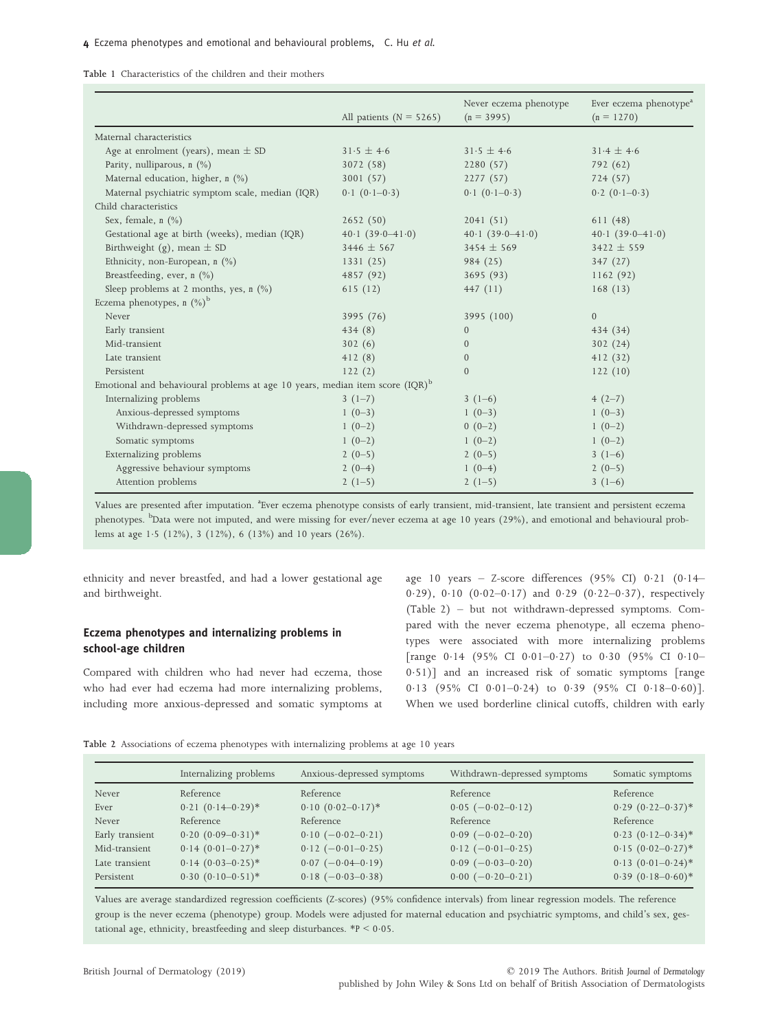Table 1 Characteristics of the children and their mothers

|                                                                                 |                             | Never eczema phenotype | Ever eczema phenotype <sup>a</sup> |
|---------------------------------------------------------------------------------|-----------------------------|------------------------|------------------------------------|
|                                                                                 | All patients ( $N = 5265$ ) | $(n = 3995)$           | $(n = 1270)$                       |
| Maternal characteristics                                                        |                             |                        |                                    |
| Age at enrolment (years), mean $\pm$ SD                                         | $31.5 \pm 4.6$              | $31.5 \pm 4.6$         | $31.4 \pm 4.6$                     |
| Parity, nulliparous, n (%)                                                      | 3072 (58)                   | 2280(57)               | 792 (62)                           |
| Maternal education, higher, n (%)                                               | 3001(57)                    | 2277(57)               | 724(57)                            |
| Maternal psychiatric symptom scale, median (IQR)                                | $0.1(0.1-0.3)$              | $0.1(0.1-0.3)$         | $0.2(0.1-0.3)$                     |
| Child characteristics                                                           |                             |                        |                                    |
| Sex, female, $n$ $(\%)$                                                         | 2652(50)                    | 2041(51)               | 611(48)                            |
| Gestational age at birth (weeks), median (IQR)                                  | $40.1(39.0-41.0)$           | $40.1(39.0-41.0)$      | $40.1(39.0-41.0)$                  |
| Birthweight (g), mean $\pm$ SD                                                  | $3446 \pm 567$              | $3454 \pm 569$         | $3422 \pm 559$                     |
| Ethnicity, non-European, n (%)                                                  | 1331(25)                    | 984(25)                | 347(27)                            |
| Breastfeeding, ever, $n$ (%)                                                    | 4857 (92)                   | 3695(93)               | 1162(92)                           |
| Sleep problems at 2 months, yes, $n$ (%)                                        | 615(12)                     | 447(11)                | 168(13)                            |
| Eczema phenotypes, n $(\%)^b$                                                   |                             |                        |                                    |
| Never                                                                           | 3995 (76)                   | 3995 (100)             | $\mathbf{0}$                       |
| Early transient                                                                 | 434(8)                      | $\overline{0}$         | 434(34)                            |
| Mid-transient                                                                   | 302(6)                      | $\overline{0}$         | 302(24)                            |
| Late transient                                                                  | 412(8)                      | $\overline{0}$         | 412(32)                            |
| Persistent                                                                      | 122(2)                      | $\overline{0}$         | 122(10)                            |
| Emotional and behavioural problems at age 10 years, median item score $(IQR)^b$ |                             |                        |                                    |
| Internalizing problems                                                          | $3(1-7)$                    | $3(1-6)$               | $4(2-7)$                           |
| Anxious-depressed symptoms                                                      | $1(0-3)$                    | $1(0-3)$               | $1(0-3)$                           |
| Withdrawn-depressed symptoms                                                    | $1(0-2)$                    | $0(0-2)$               | $1(0-2)$                           |
| Somatic symptoms                                                                | $1(0-2)$                    | $1(0-2)$               | $1(0-2)$                           |
| Externalizing problems                                                          | $2(0-5)$                    | $2(0-5)$               | $3(1-6)$                           |
| Aggressive behaviour symptoms                                                   | $2(0-4)$                    | $1(0-4)$               | $2(0-5)$                           |
| Attention problems                                                              | $2(1-5)$                    | $2(1-5)$               | $3(1-6)$                           |

Values are presented after imputation. <sup>a</sup>Ever eczema phenotype consists of early transient, mid-transient, late transient and persistent eczema phenotypes. <sup>b</sup>Data were not imputed, and were missing for ever/never eczema at age 10 years (29%), and emotional and behavioural problems at age 15 (12%), 3 (12%), 6 (13%) and 10 years (26%).

ethnicity and never breastfed, and had a lower gestational age and birthweight.

# Eczema phenotypes and internalizing problems in school-age children

Compared with children who had never had eczema, those who had ever had eczema had more internalizing problems, including more anxious-depressed and somatic symptoms at age 10 years - Z-score differences (95% CI)  $0.21$  (0.14– 0.29), 0.10  $(0.02-0.17)$  and 0.29  $(0.22-0.37)$ , respectively (Table 2) – but not withdrawn-depressed symptoms. Compared with the never eczema phenotype, all eczema phenotypes were associated with more internalizing problems [range  $0.14$  (95% CI 0.01-0.27) to 0.30 (95% CI 0.10-051)] and an increased risk of somatic symptoms [range  $0.13$  (95% CI 0.01-0.24) to 0.39 (95% CI 0.18-0.60)]. When we used borderline clinical cutoffs, children with early

Table 2 Associations of eczema phenotypes with internalizing problems at age 10 years

|                 | Internalizing problems | Anxious-depressed symptoms | Withdrawn-depressed symptoms | Somatic symptoms         |
|-----------------|------------------------|----------------------------|------------------------------|--------------------------|
| Never           | Reference              | Reference                  | Reference                    | Reference                |
| Ever            | $0.21(0.14 - 0.29)*$   | $0.10(0.02-0.17)$ *        | $0.05 (-0.02 - 0.12)$        | $0.29$ $(0.22 - 0.37)^*$ |
| Never           | Reference              | Reference                  | Reference                    | Reference                |
| Early transient | $0.20(0.09-0.31)^*$    | $0.10 (-0.02 - 0.21)$      | $0.09$ $(-0.02 - 0.20)$      | $0.23$ $(0.12 - 0.34)^*$ |
| Mid-transient   | $0.14(0.01-0.27)$ *    | $0.12 (-0.01 - 0.25)$      | $0.12 (-0.01 - 0.25)$        | $0.15(0.02-0.27)$ *      |
| Late transient  | $0.14(0.03-0.25)$ *    | $0.07$ $(-0.04 - 0.19)$    | $0.09$ (-0.03-0.20)          | $0.13(0.01-0.24)$ *      |
| Persistent      | $0.30(0.10-0.51)^*$    | $0.18 (-0.03 - 0.38)$      | $0.00 (-0.20 - 0.21)$        | $0.39$ $(0.18 - 0.60)*$  |

Values are average standardized regression coefficients (Z-scores) (95% confidence intervals) from linear regression models. The reference group is the never eczema (phenotype) group. Models were adjusted for maternal education and psychiatric symptoms, and child's sex, gestational age, ethnicity, breastfeeding and sleep disturbances.  $*P < 0.05$ .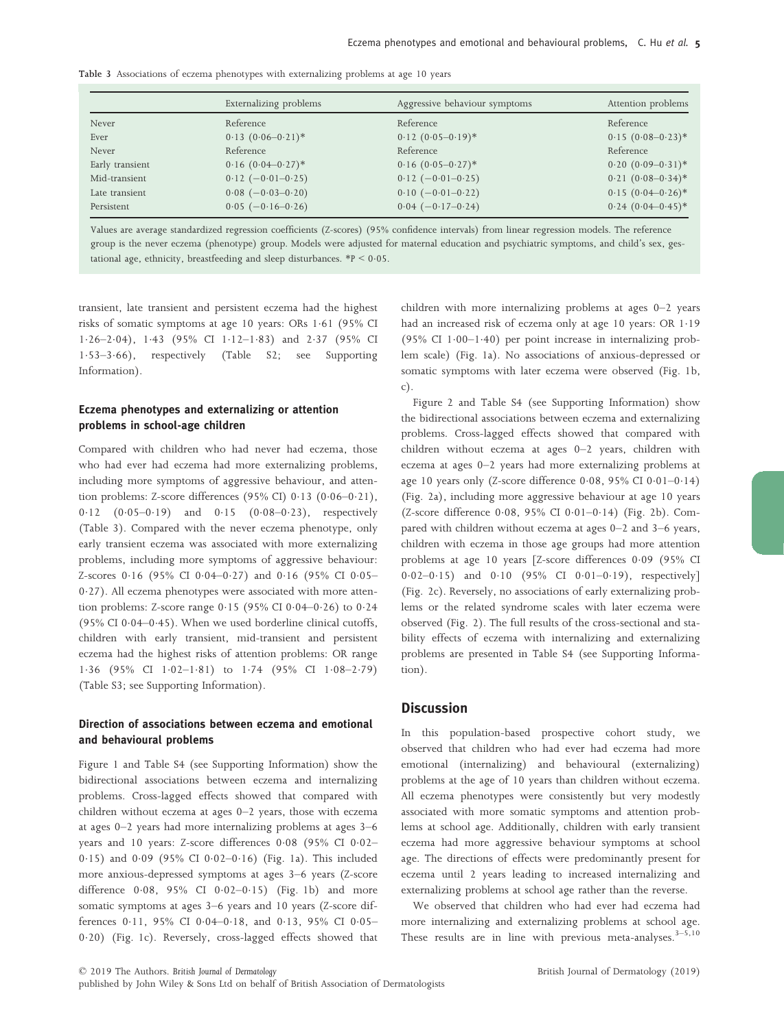| Table 3 Associations of eczema phenotypes with externalizing problems at age 10 years |  |  |  |  |  |  |
|---------------------------------------------------------------------------------------|--|--|--|--|--|--|
|                                                                                       |  |  |  |  |  |  |

|                 | Externalizing problems   | Aggressive behaviour symptoms | Attention problems     |
|-----------------|--------------------------|-------------------------------|------------------------|
| Never           | Reference                | Reference                     | Reference              |
| Ever            | $0.13$ $(0.06 - 0.21)^*$ | $0.12 (0.05 - 0.19)^*$        | $0.15(0.08-0.23)*$     |
| Never           | Reference                | Reference                     | Reference              |
| Early transient | $0.16$ $(0.04 - 0.27)^*$ | $0.16$ $(0.05-0.27)*$         | $0.20(0.09-0.31)^*$    |
| Mid-transient   | $0.12$ (-0.01-0.25)      | $0.12 (-0.01 - 0.25)$         | $0.21 (0.08 - 0.34)^*$ |
| Late transient  | $0.08 (-0.03 - 0.20)$    | $0.10 (-0.01 - 0.22)$         | $0.15(0.04 - 0.26)$ *  |
| Persistent      | $0.05 (-0.16 - 0.26)$    | $0.04 (-0.17 - 0.24)$         | $0.24~(0.04 - 0.45)*$  |

Values are average standardized regression coefficients (Z-scores) (95% confidence intervals) from linear regression models. The reference group is the never eczema (phenotype) group. Models were adjusted for maternal education and psychiatric symptoms, and child's sex, gestational age, ethnicity, breastfeeding and sleep disturbances.  $*P < 0.05$ .

transient, late transient and persistent eczema had the highest risks of somatic symptoms at age 10 years: ORs 1.61 (95% CI 1·26–2·04), 1·43 (95% CI 1·12–1·83) and 2·37 (95% CI<br>1·53–3·66), respectively (Table S2; see Supporting respectively (Table S2; see Supporting Information).

# Eczema phenotypes and externalizing or attention problems in school-age children

Compared with children who had never had eczema, those who had ever had eczema had more externalizing problems, including more symptoms of aggressive behaviour, and attention problems: Z-score differences  $(95\% \text{ CI})$  0.13  $(0.06-0.21)$ ,  $0.12$   $(0.05-0.19)$  and  $0.15$   $(0.08-0.23)$ , respectively (Table 3). Compared with the never eczema phenotype, only early transient eczema was associated with more externalizing problems, including more symptoms of aggressive behaviour: Z-scores 0.16 (95% CI 0.04-0.27) and 0.16 (95% CI 0.05-0.27). All eczema phenotypes were associated with more attention problems: Z-score range  $0.15$  (95% CI  $0.04-0.26$ ) to  $0.24$ (95% CI 0·04-0·45). When we used borderline clinical cutoffs, children with early transient, mid-transient and persistent eczema had the highest risks of attention problems: OR range 1.36 (95% CI 1.02-1.81) to 1.74 (95% CI 1.08-2.79) (Table S3; see Supporting Information).

# Direction of associations between eczema and emotional and behavioural problems

Figure 1 and Table S4 (see Supporting Information) show the bidirectional associations between eczema and internalizing problems. Cross-lagged effects showed that compared with children without eczema at ages 0–2 years, those with eczema at ages 0–2 years had more internalizing problems at ages 3–6 years and 10 years: Z-score differences 0.08 (95% CI 0.02-0.15) and 0.09 (95% CI 0.02-0.16) (Fig. 1a). This included more anxious-depressed symptoms at ages 3–6 years (Z-score difference  $0.08$ ,  $95\%$  CI  $0.02-0.15$ ) (Fig. 1b) and more somatic symptoms at ages 3–6 years and 10 years (Z-score differences 0.11, 95% CI 0.04-0.18, and 0.13, 95% CI 0.05-020) (Fig. 1c). Reversely, cross-lagged effects showed that children with more internalizing problems at ages 0–2 years had an increased risk of eczema only at age 10 years: OR 1.19 (95% CI  $1.00-1.40$ ) per point increase in internalizing problem scale) (Fig. 1a). No associations of anxious-depressed or somatic symptoms with later eczema were observed (Fig. 1b, c).

Figure 2 and Table S4 (see Supporting Information) show the bidirectional associations between eczema and externalizing problems. Cross-lagged effects showed that compared with children without eczema at ages 0–2 years, children with eczema at ages 0–2 years had more externalizing problems at age 10 years only (Z-score difference  $0.08$ ,  $95\%$  CI  $0.01-0.14$ ) (Fig. 2a), including more aggressive behaviour at age 10 years (Z-score difference  $0.08$ ,  $95\%$  CI  $0.01-0.14$ ) (Fig. 2b). Compared with children without eczema at ages 0–2 and 3–6 years, children with eczema in those age groups had more attention problems at age 10 years [Z-score differences 0.09 (95% CI  $0.02-0.15$ ) and  $0.10$  (95% CI  $0.01-0.19$ ), respectively] (Fig. 2c). Reversely, no associations of early externalizing problems or the related syndrome scales with later eczema were observed (Fig. 2). The full results of the cross-sectional and stability effects of eczema with internalizing and externalizing problems are presented in Table S4 (see Supporting Information).

### **Discussion**

In this population-based prospective cohort study, we observed that children who had ever had eczema had more emotional (internalizing) and behavioural (externalizing) problems at the age of 10 years than children without eczema. All eczema phenotypes were consistently but very modestly associated with more somatic symptoms and attention problems at school age. Additionally, children with early transient eczema had more aggressive behaviour symptoms at school age. The directions of effects were predominantly present for eczema until 2 years leading to increased internalizing and externalizing problems at school age rather than the reverse.

We observed that children who had ever had eczema had more internalizing and externalizing problems at school age. These results are in line with previous meta-analyses. $3-5,10$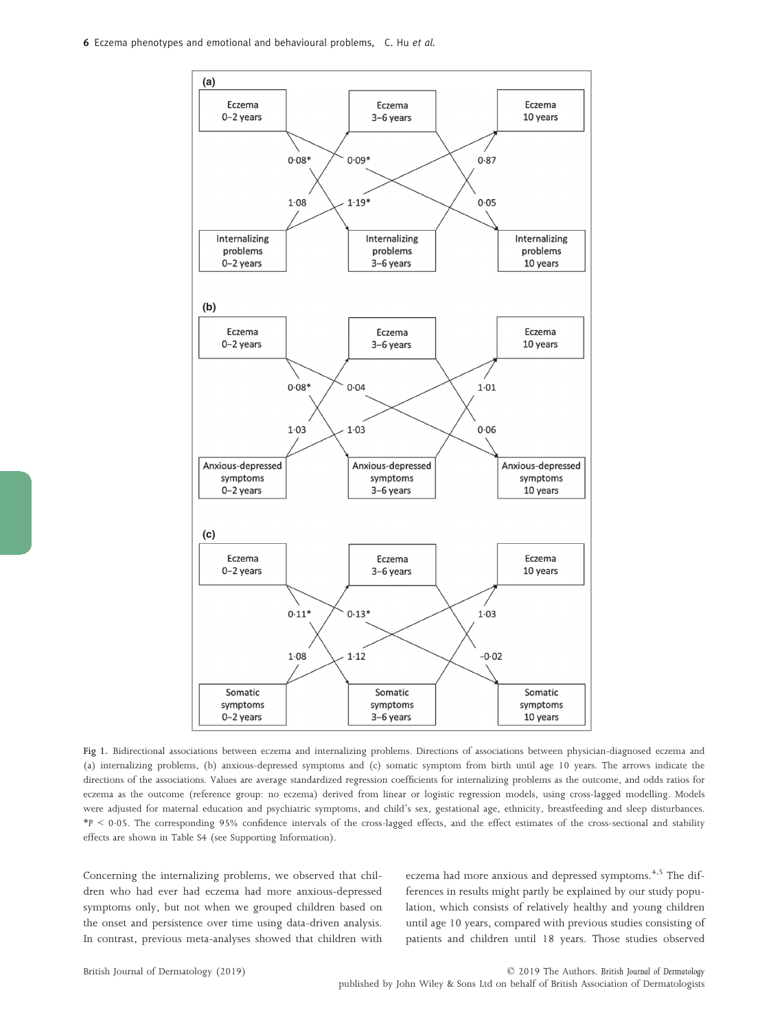

Fig 1. Bidirectional associations between eczema and internalizing problems. Directions of associations between physician-diagnosed eczema and (a) internalizing problems, (b) anxious-depressed symptoms and (c) somatic symptom from birth until age 10 years. The arrows indicate the directions of the associations. Values are average standardized regression coefficients for internalizing problems as the outcome, and odds ratios for eczema as the outcome (reference group: no eczema) derived from linear or logistic regression models, using cross-lagged modelling. Models were adjusted for maternal education and psychiatric symptoms, and child's sex, gestational age, ethnicity, breastfeeding and sleep disturbances. \*P < 005. The corresponding 95% confidence intervals of the cross-lagged effects, and the effect estimates of the cross-sectional and stability effects are shown in Table S4 (see Supporting Information).

Concerning the internalizing problems, we observed that children who had ever had eczema had more anxious-depressed symptoms only, but not when we grouped children based on the onset and persistence over time using data-driven analysis. In contrast, previous meta-analyses showed that children with eczema had more anxious and depressed symptoms.<sup>4,5</sup> The differences in results might partly be explained by our study population, which consists of relatively healthy and young children until age 10 years, compared with previous studies consisting of patients and children until 18 years. Those studies observed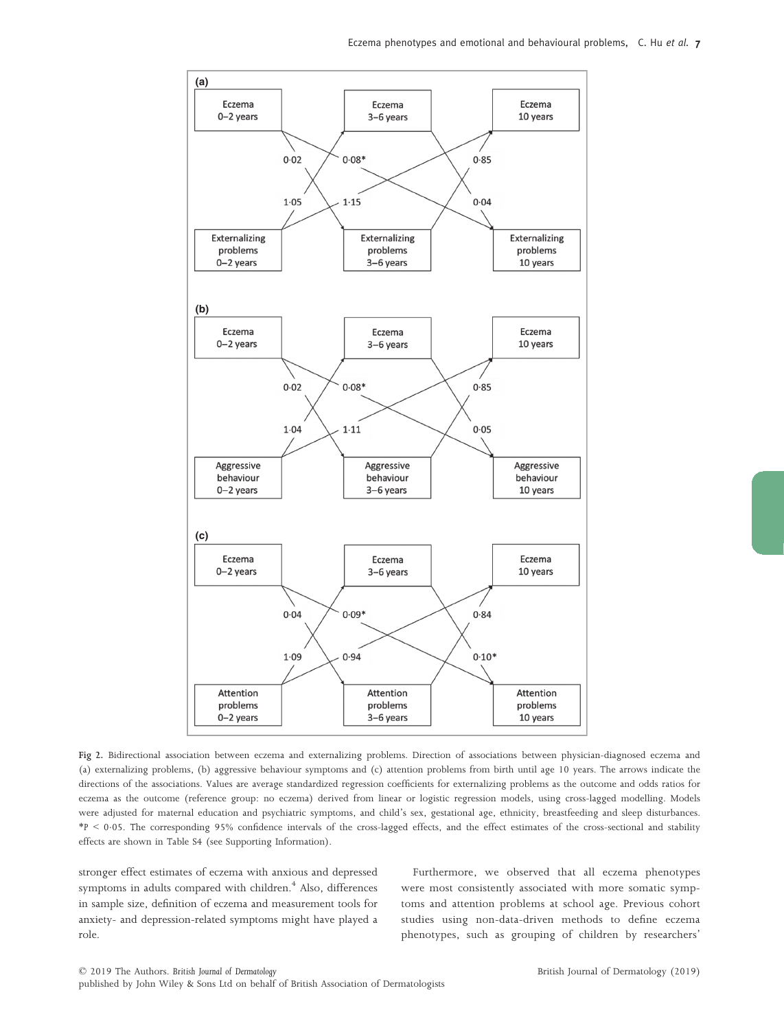

Fig 2. Bidirectional association between eczema and externalizing problems. Direction of associations between physician-diagnosed eczema and (a) externalizing problems, (b) aggressive behaviour symptoms and (c) attention problems from birth until age 10 years. The arrows indicate the directions of the associations. Values are average standardized regression coefficients for externalizing problems as the outcome and odds ratios for eczema as the outcome (reference group: no eczema) derived from linear or logistic regression models, using cross-lagged modelling. Models were adjusted for maternal education and psychiatric symptoms, and child's sex, gestational age, ethnicity, breastfeeding and sleep disturbances. \*P < 005. The corresponding 95% confidence intervals of the cross-lagged effects, and the effect estimates of the cross-sectional and stability effects are shown in Table S4 (see Supporting Information).

stronger effect estimates of eczema with anxious and depressed symptoms in adults compared with children.<sup>4</sup> Also, differences in sample size, definition of eczema and measurement tools for anxiety- and depression-related symptoms might have played a role.

Furthermore, we observed that all eczema phenotypes were most consistently associated with more somatic symptoms and attention problems at school age. Previous cohort studies using non-data-driven methods to define eczema phenotypes, such as grouping of children by researchers'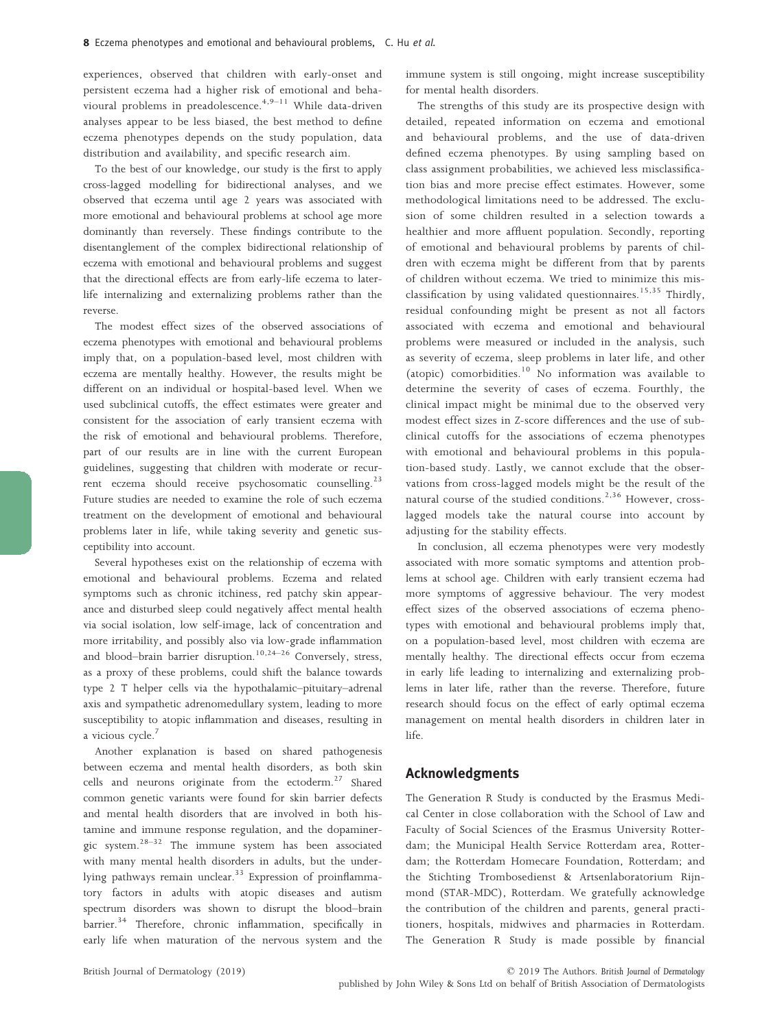experiences, observed that children with early-onset and persistent eczema had a higher risk of emotional and behavioural problems in preadolescence.<sup>4,9-11</sup> While data-driven analyses appear to be less biased, the best method to define eczema phenotypes depends on the study population, data distribution and availability, and specific research aim.

To the best of our knowledge, our study is the first to apply cross-lagged modelling for bidirectional analyses, and we observed that eczema until age 2 years was associated with more emotional and behavioural problems at school age more dominantly than reversely. These findings contribute to the disentanglement of the complex bidirectional relationship of eczema with emotional and behavioural problems and suggest that the directional effects are from early-life eczema to laterlife internalizing and externalizing problems rather than the reverse.

The modest effect sizes of the observed associations of eczema phenotypes with emotional and behavioural problems imply that, on a population-based level, most children with eczema are mentally healthy. However, the results might be different on an individual or hospital-based level. When we used subclinical cutoffs, the effect estimates were greater and consistent for the association of early transient eczema with the risk of emotional and behavioural problems. Therefore, part of our results are in line with the current European guidelines, suggesting that children with moderate or recurrent eczema should receive psychosomatic counselling. $23$ Future studies are needed to examine the role of such eczema treatment on the development of emotional and behavioural problems later in life, while taking severity and genetic susceptibility into account.

Several hypotheses exist on the relationship of eczema with emotional and behavioural problems. Eczema and related symptoms such as chronic itchiness, red patchy skin appearance and disturbed sleep could negatively affect mental health via social isolation, low self-image, lack of concentration and more irritability, and possibly also via low-grade inflammation and blood–brain barrier disruption.<sup>10,24–26</sup> Conversely, stress, as a proxy of these problems, could shift the balance towards type 2 T helper cells via the hypothalamic–pituitary–adrenal axis and sympathetic adrenomedullary system, leading to more susceptibility to atopic inflammation and diseases, resulting in a vicious cycle.<sup>7</sup>

Another explanation is based on shared pathogenesis between eczema and mental health disorders, as both skin cells and neurons originate from the ectoderm.<sup>27</sup> Shared common genetic variants were found for skin barrier defects and mental health disorders that are involved in both histamine and immune response regulation, and the dopaminergic system.<sup>28-32</sup> The immune system has been associated with many mental health disorders in adults, but the underlying pathways remain unclear.<sup>33</sup> Expression of proinflammatory factors in adults with atopic diseases and autism spectrum disorders was shown to disrupt the blood–brain barrier.<sup>34</sup> Therefore, chronic inflammation, specifically in early life when maturation of the nervous system and the immune system is still ongoing, might increase susceptibility for mental health disorders.

The strengths of this study are its prospective design with detailed, repeated information on eczema and emotional and behavioural problems, and the use of data-driven defined eczema phenotypes. By using sampling based on class assignment probabilities, we achieved less misclassification bias and more precise effect estimates. However, some methodological limitations need to be addressed. The exclusion of some children resulted in a selection towards a healthier and more affluent population. Secondly, reporting of emotional and behavioural problems by parents of children with eczema might be different from that by parents of children without eczema. We tried to minimize this misclassification by using validated questionnaires.<sup>15,35</sup> Thirdly, residual confounding might be present as not all factors associated with eczema and emotional and behavioural problems were measured or included in the analysis, such as severity of eczema, sleep problems in later life, and other (atopic) comorbidities. $10$  No information was available to determine the severity of cases of eczema. Fourthly, the clinical impact might be minimal due to the observed very modest effect sizes in Z-score differences and the use of subclinical cutoffs for the associations of eczema phenotypes with emotional and behavioural problems in this population-based study. Lastly, we cannot exclude that the observations from cross-lagged models might be the result of the natural course of the studied conditions.<sup>2,36</sup> However, crosslagged models take the natural course into account by adjusting for the stability effects.

In conclusion, all eczema phenotypes were very modestly associated with more somatic symptoms and attention problems at school age. Children with early transient eczema had more symptoms of aggressive behaviour. The very modest effect sizes of the observed associations of eczema phenotypes with emotional and behavioural problems imply that, on a population-based level, most children with eczema are mentally healthy. The directional effects occur from eczema in early life leading to internalizing and externalizing problems in later life, rather than the reverse. Therefore, future research should focus on the effect of early optimal eczema management on mental health disorders in children later in life.

### Acknowledgments

The Generation R Study is conducted by the Erasmus Medical Center in close collaboration with the School of Law and Faculty of Social Sciences of the Erasmus University Rotterdam; the Municipal Health Service Rotterdam area, Rotterdam; the Rotterdam Homecare Foundation, Rotterdam; and the Stichting Trombosedienst & Artsenlaboratorium Rijnmond (STAR-MDC), Rotterdam. We gratefully acknowledge the contribution of the children and parents, general practitioners, hospitals, midwives and pharmacies in Rotterdam. The Generation R Study is made possible by financial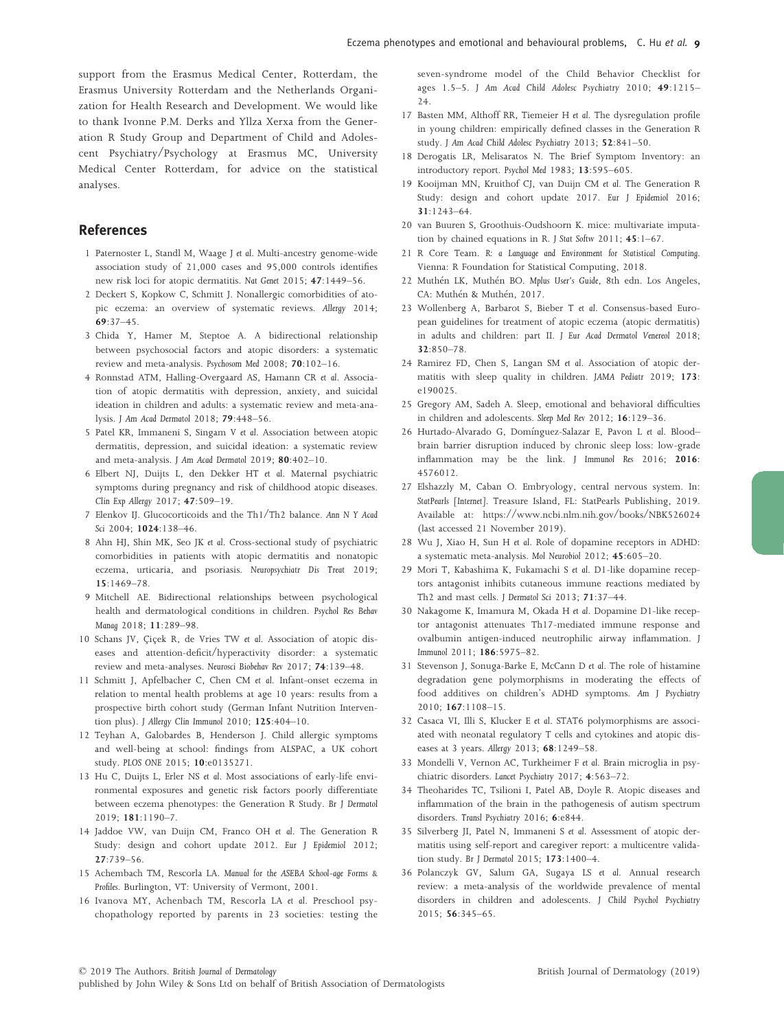support from the Erasmus Medical Center, Rotterdam, the Erasmus University Rotterdam and the Netherlands Organization for Health Research and Development. We would like to thank Ivonne P.M. Derks and Yllza Xerxa from the Generation R Study Group and Department of Child and Adolescent Psychiatry/Psychology at Erasmus MC, University Medical Center Rotterdam, for advice on the statistical analyses.

# References

- 1 Paternoster L, Standl M, Waage J et al. Multi-ancestry genome-wide association study of 21,000 cases and 95,000 controls identifies new risk loci for atopic dermatitis. Nat Genet 2015; 47:1449–56.
- 2 Deckert S, Kopkow C, Schmitt J. Nonallergic comorbidities of atopic eczema: an overview of systematic reviews. Allergy 2014; 69:37–45.
- 3 Chida Y, Hamer M, Steptoe A. A bidirectional relationship between psychosocial factors and atopic disorders: a systematic review and meta-analysis. Psychosom Med 2008; 70:102–16.
- 4 Ronnstad ATM, Halling-Overgaard AS, Hamann CR et al. Association of atopic dermatitis with depression, anxiety, and suicidal ideation in children and adults: a systematic review and meta-analysis. J Am Acad Dermatol 2018; 79:448–56.
- 5 Patel KR, Immaneni S, Singam V et al. Association between atopic dermatitis, depression, and suicidal ideation: a systematic review and meta-analysis. J Am Acad Dermatol 2019; 80:402–10.
- 6 Elbert NJ, Duijts L, den Dekker HT et al. Maternal psychiatric symptoms during pregnancy and risk of childhood atopic diseases. Clin Exp Allergy 2017; 47:509–19.
- 7 Elenkov IJ. Glucocorticoids and the Th1/Th2 balance. Ann N Y Acad Sci 2004; 1024:138–46.
- 8 Ahn HJ, Shin MK, Seo JK et al. Cross-sectional study of psychiatric comorbidities in patients with atopic dermatitis and nonatopic eczema, urticaria, and psoriasis. Neuropsychiatr Dis Treat 2019; 15:1469–78.
- 9 Mitchell AE. Bidirectional relationships between psychological health and dermatological conditions in children. Psychol Res Behav Manag 2018; 11:289–98.
- 10 Schans JV, Cicek R, de Vries TW et al. Association of atopic diseases and attention-deficit/hyperactivity disorder: a systematic review and meta-analyses. Neurosci Biobehav Rev 2017; <sup>74</sup>:139–48.
- 11 Schmitt J, Apfelbacher C, Chen CM et al. Infant-onset eczema in relation to mental health problems at age 10 years: results from a prospective birth cohort study (German Infant Nutrition Intervention plus). J Allergy Clin Immunol 2010; 125:404–10.
- 12 Teyhan A, Galobardes B, Henderson J. Child allergic symptoms and well-being at school: findings from ALSPAC, a UK cohort study. PLOS ONE 2015; 10:e0135271.
- 13 Hu C, Duijts L, Erler NS et al. Most associations of early-life environmental exposures and genetic risk factors poorly differentiate between eczema phenotypes: the Generation R Study. Br J Dermatol 2019; 181:1190–7.
- 14 Jaddoe VW, van Duijn CM, Franco OH et al. The Generation R Study: design and cohort update 2012. Eur J Epidemiol 2012; 27:739–56.
- 15 Achembach TM, Rescorla LA. Manual for the ASEBA School-age Forms & Profiles. Burlington, VT: University of Vermont, 2001.
- 16 Ivanova MY, Achenbach TM, Rescorla LA et al. Preschool psychopathology reported by parents in 23 societies: testing the

seven-syndrome model of the Child Behavior Checklist for ages 1.5–5. J Am Acad Child Adolesc Psychiatry 2010; 49:1215– 24.

- 17 Basten MM, Althoff RR, Tiemeier H et al. The dysregulation profile in young children: empirically defined classes in the Generation R study. J Am Acad Child Adolesc Psychiatry 2013; 52:841–50.
- 18 Derogatis LR, Melisaratos N. The Brief Symptom Inventory: an introductory report. Psychol Med 1983; 13:595–605.
- 19 Kooijman MN, Kruithof CJ, van Duijn CM et al. The Generation R Study: design and cohort update 2017. Eur J Epidemiol 2016; 31:1243–64.
- 20 van Buuren S, Groothuis-Oudshoorn K. mice: multivariate imputation by chained equations in R. J Stat Softw 2011; 45:1–67.
- 21 R Core Team. R: a Language and Environment for Statistical Computing. Vienna: R Foundation for Statistical Computing, 2018.
- 22 Muthén LK, Muthén BO. Mplus User's Guide, 8th edn. Los Angeles, CA: Muthén & Muthén, 2017.
- 23 Wollenberg A, Barbarot S, Bieber T et al. Consensus-based European guidelines for treatment of atopic eczema (atopic dermatitis) in adults and children: part II. J Eur Acad Dermatol Venereol 2018; 32:850–78.
- 24 Ramirez FD, Chen S, Langan SM et al. Association of atopic dermatitis with sleep quality in children. JAMA Pediatr 2019; 173: e190025.
- 25 Gregory AM, Sadeh A. Sleep, emotional and behavioral difficulties in children and adolescents. Sleep Med Rev 2012; 16:129–36.
- 26 Hurtado-Alvarado G, Domínguez-Salazar E, Pavon L et al. Bloodbrain barrier disruption induced by chronic sleep loss: low-grade inflammation may be the link. J Immunol Res 2016; 2016: 4576012.
- 27 Elshazzly M, Caban O. Embryology, central nervous system. In: StatPearls [Internet]. Treasure Island, FL: StatPearls Publishing, 2019. Available at:<https://www.ncbi.nlm.nih.gov/books/NBK526024> (last accessed 21 November 2019).
- 28 Wu J, Xiao H, Sun H et al. Role of dopamine receptors in ADHD: a systematic meta-analysis. Mol Neurobiol 2012; 45:605–20.
- 29 Mori T, Kabashima K, Fukamachi S et al. D1-like dopamine receptors antagonist inhibits cutaneous immune reactions mediated by Th2 and mast cells. J Dermatol Sci 2013; 71:37–44.
- 30 Nakagome K, Imamura M, Okada H et al. Dopamine D1-like receptor antagonist attenuates Th17-mediated immune response and ovalbumin antigen-induced neutrophilic airway inflammation. J Immunol 2011; 186:5975–82.
- 31 Stevenson J, Sonuga-Barke E, McCann D et al. The role of histamine degradation gene polymorphisms in moderating the effects of food additives on children's ADHD symptoms. Am J Psychiatry 2010; <sup>167</sup>:1108–15.
- 32 Casaca VI, Illi S, Klucker E et al. STAT6 polymorphisms are associated with neonatal regulatory T cells and cytokines and atopic diseases at 3 years. Allergy 2013; 68:1249–58.
- 33 Mondelli V, Vernon AC, Turkheimer F et al. Brain microglia in psychiatric disorders. Lancet Psychiatry 2017; 4:563–72.
- 34 Theoharides TC, Tsilioni I, Patel AB, Doyle R. Atopic diseases and inflammation of the brain in the pathogenesis of autism spectrum disorders. Transl Psychiatry 2016; 6:e844.
- 35 Silverberg JI, Patel N, Immaneni S et al. Assessment of atopic dermatitis using self-report and caregiver report: a multicentre validation study. Br J Dermatol 2015; 173:1400–4.
- 36 Polanczyk GV, Salum GA, Sugaya LS et al. Annual research review: a meta-analysis of the worldwide prevalence of mental disorders in children and adolescents. J Child Psychol Psychiatry 2015; 56:345–65.